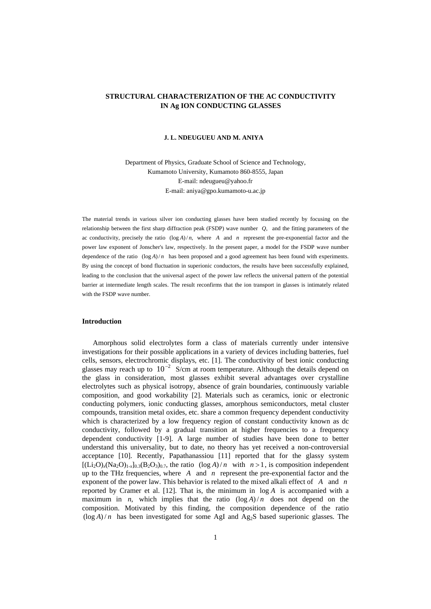# **STRUCTURAL CHARACTERIZATION OF THE AC CONDUCTIVITY IN Ag ION CONDUCTING GLASSES**

### **J. L. NDEUGUEU AND M. ANIYA**

Department of Physics, Graduate School of Science and Technology, Kumamoto University, Kumamoto 860-8555, Japan E-mail: ndeugueu@yahoo.fr E-mail: aniya@gpo.kumamoto-u.ac.jp

The material trends in various silver ion conducting glasses have been studied recently by focusing on the relationship between the first sharp diffraction peak (FSDP) wave number *Q*, and the fitting parameters of the ac conductivity, precisely the ratio  $(\log A)/n$ , where *A* and *n* represent the pre-exponential factor and the power law exponent of Jonscher's law, respectively. In the present paper, a model for the FSDP wave number dependence of the ratio  $(\log A)/n$  has been proposed and a good agreement has been found with experiments. By using the concept of bond fluctuation in superionic conductors, the results have been successfully explained, leading to the conclusion that the universal aspect of the power law reflects the universal pattern of the potential barrier at intermediate length scales. The result reconfirms that the ion transport in glasses is intimately related with the FSDP wave number.

## **Introduction**

Amorphous solid electrolytes form a class of materials currently under intensive investigations for their possible applications in a variety of devices including batteries, fuel cells, sensors, electrochromic displays, etc. [1]. The conductivity of best ionic conducting glasses may reach up to  $10^{-2}$  S/cm at room temperature. Although the details depend on the glass in consideration, most glasses exhibit several advantages over crystalline electrolytes such as physical isotropy, absence of grain boundaries, continuously variable composition, and good workability [2]. Materials such as ceramics, ionic or electronic conducting polymers, ionic conducting glasses, amorphous semiconductors, metal cluster compounds, transition metal oxides, etc. share a common frequency dependent conductivity which is characterized by a low frequency region of constant conductivity known as dc conductivity, followed by a gradual transition at higher frequencies to a frequency dependent conductivity [1-9]. A large number of studies have been done to better understand this universality, but to date, no theory has yet received a non-controversial acceptance [10]. Recently, Papathanassiou [11] reported that for the glassy system  $[(\text{Li}_2\text{O})_x(\text{Na}_2\text{O})_{1-x}]_{0.3}(\text{B}_2\text{O}_3)_{0.7}$ , the ratio  $(\log A)/n$  with  $n > 1$ , is composition independent up to the THz frequencies, where *A* and *n* represent the pre-exponential factor and the exponent of the power law. This behavior is related to the mixed alkali effect of *A* and *n* reported by Cramer et al. [12]. That is, the minimum in log *A* is accompanied with a maximum in *n*, which implies that the ratio  $(\log A)/n$  does not depend on the composition. Motivated by this finding, the composition dependence of the ratio  $(\log A)/n$  has been investigated for some AgI and Ag<sub>2</sub>S based superionic glasses. The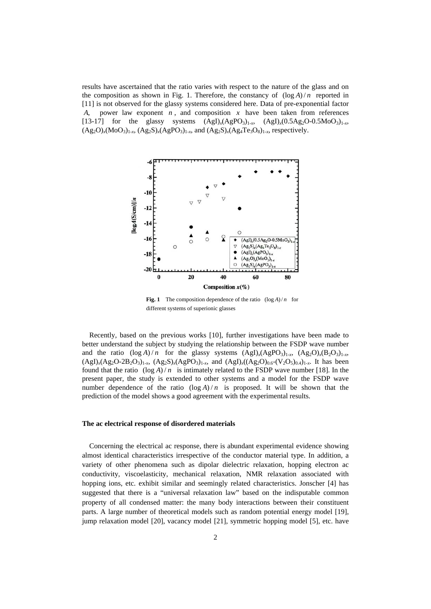results have ascertained that the ratio varies with respect to the nature of the glass and on the composition as shown in Fig. 1. Therefore, the constancy of  $(\log A)/n$  reported in [11] is not observed for the glassy systems considered here. Data of pre-exponential factor *A*, power law exponent *n* , and composition *x* have been taken from references [13-17] for the glassy systems  $(AgI)_x(AgPO_3)_{1-x}$ ,  $(AgI)_x(0.5Ag_2O-0.5MoO_3)_{1-x}$  $(Ag_2O)_x(M_0O_3)_{1-x}$ ,  $(Ag_2S)_x(AgPO_3)_{1-x}$ , and  $(Ag_2S)_x(Ag_4Te_3O_8)_{1-x}$ , respectively.



**Fig. 1** The composition dependence of the ratio  $(\log A)/n$  for different systems of superionic glasses

Recently, based on the previous works [10], further investigations have been made to better understand the subject by studying the relationship between the FSDP wave number and the ratio  $(\log A)/n$  for the glassy systems  $(AgI)_x(AgPO_3)_{1-x}$ ,  $(Ag_2O)_x(B_2O_3)_{1-x}$  $(AgI)_x(Ag_2O-2B_2O_3)_{1-x}$ ,  $(Ag_2S)_x(AgPO_3)_{1-x}$ , and  $(AgI)_x((Ag_2O)_{0.6}-(V_2O_5)_{0.4})_{1-x}$ . It has been found that the ratio  $(\log A)/n$  is intimately related to the FSDP wave number [18]. In the present paper, the study is extended to other systems and a model for the FSDP wave number dependence of the ratio  $(\log A)/n$  is proposed. It will be shown that the prediction of the model shows a good agreement with the experimental results.

### **The ac electrical response of disordered materials**

Concerning the electrical ac response, there is abundant experimental evidence showing almost identical characteristics irrespective of the conductor material type. In addition, a variety of other phenomena such as dipolar dielectric relaxation, hopping electron ac conductivity, viscoelasticity, mechanical relaxation, NMR relaxation associated with hopping ions, etc. exhibit similar and seemingly related characteristics. Jonscher [4] has suggested that there is a "universal relaxation law" based on the indisputable common property of all condensed matter: the many body interactions between their constituent parts. A large number of theoretical models such as random potential energy model [19], jump relaxation model [20], vacancy model [21], symmetric hopping model [5], etc. have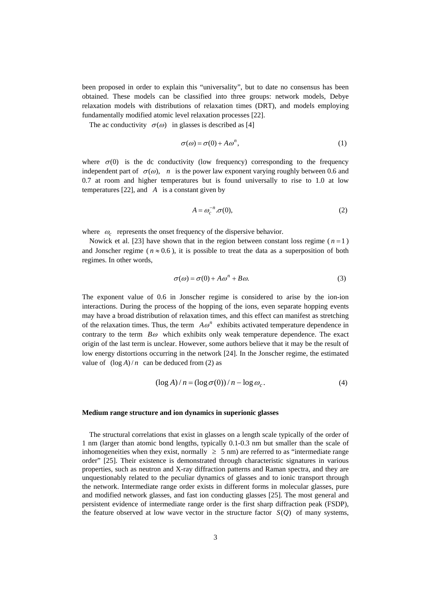been proposed in order to explain this "universality", but to date no consensus has been obtained. These models can be classified into three groups: network models, Debye relaxation models with distributions of relaxation times (DRT), and models employing fundamentally modified atomic level relaxation processes [22].

The ac conductivity  $\sigma(\omega)$  in glasses is described as [4]

$$
\sigma(\omega) = \sigma(0) + A\omega^n,\tag{1}
$$

where  $\sigma(0)$  is the dc conductivity (low frequency) corresponding to the frequency independent part of  $\sigma(\omega)$ , *n* is the power law exponent varying roughly between 0.6 and 0.7 at room and higher temperatures but is found universally to rise to 1.0 at low temperatures [22], and *A* is a constant given by

$$
A = \omega_c^{-n}.\sigma(0),\tag{2}
$$

where  $\omega_c$  represents the onset frequency of the dispersive behavior.

Nowick et al. [23] have shown that in the region between constant loss regime  $(n=1)$ and Jonscher regime ( $n \approx 0.6$ ), it is possible to treat the data as a superposition of both regimes. In other words,

$$
\sigma(\omega) = \sigma(0) + A\omega^n + B\omega.
$$
 (3)

The exponent value of 0.6 in Jonscher regime is considered to arise by the ion-ion interactions. During the process of the hopping of the ions, even separate hopping events may have a broad distribution of relaxation times, and this effect can manifest as stretching of the relaxation times. Thus, the term  $A\omega^n$  exhibits activated temperature dependence in contrary to the term  $B\omega$  which exhibits only weak temperature dependence. The exact origin of the last term is unclear. However, some authors believe that it may be the result of low energy distortions occurring in the network [24]. In the Jonscher regime, the estimated value of  $(\log A)/n$  can be deduced from (2) as

$$
(\log A)/n = (\log \sigma(0))/n - \log \omega_c. \tag{4}
$$

#### **Medium range structure and ion dynamics in superionic glasses**

The structural correlations that exist in glasses on a length scale typically of the order of 1 nm (larger than atomic bond lengths, typically 0.1-0.3 nm but smaller than the scale of inhomogeneities when they exist, normally  $\geq 5$  nm) are referred to as "intermediate range order" [25]. Their existence is demonstrated through characteristic signatures in various properties, such as neutron and X-ray diffraction patterns and Raman spectra, and they are unquestionably related to the peculiar dynamics of glasses and to ionic transport through the network. Intermediate range order exists in different forms in molecular glasses, pure and modified network glasses, and fast ion conducting glasses [25]. The most general and persistent evidence of intermediate range order is the first sharp diffraction peak (FSDP), the feature observed at low wave vector in the structure factor  $S(Q)$  of many systems,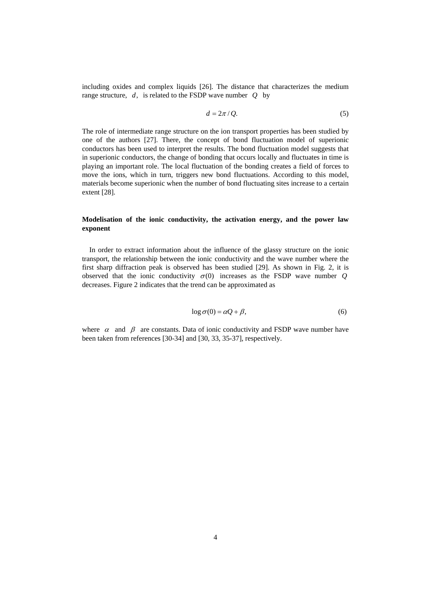including oxides and complex liquids [26]. The distance that characterizes the medium range structure, *d*, is related to the FSDP wave number *Q* by

$$
d = 2\pi / Q. \tag{5}
$$

The role of intermediate range structure on the ion transport properties has been studied by one of the authors [27]. There, the concept of bond fluctuation model of superionic conductors has been used to interpret the results. The bond fluctuation model suggests that in superionic conductors, the change of bonding that occurs locally and fluctuates in time is playing an important role. The local fluctuation of the bonding creates a field of forces to move the ions, which in turn, triggers new bond fluctuations. According to this model, materials become superionic when the number of bond fluctuating sites increase to a certain extent [28].

## **Modelisation of the ionic conductivity, the activation energy, and the power law exponent**

In order to extract information about the influence of the glassy structure on the ionic transport, the relationship between the ionic conductivity and the wave number where the first sharp diffraction peak is observed has been studied [29]. As shown in Fig. 2, it is observed that the ionic conductivity  $\sigma(0)$  increases as the FSDP wave number *Q* decreases. Figure 2 indicates that the trend can be approximated as

$$
\log \sigma(0) = \alpha Q + \beta,\tag{6}
$$

where  $\alpha$  and  $\beta$  are constants. Data of ionic conductivity and FSDP wave number have been taken from references [30-34] and [30, 33, 35-37], respectively.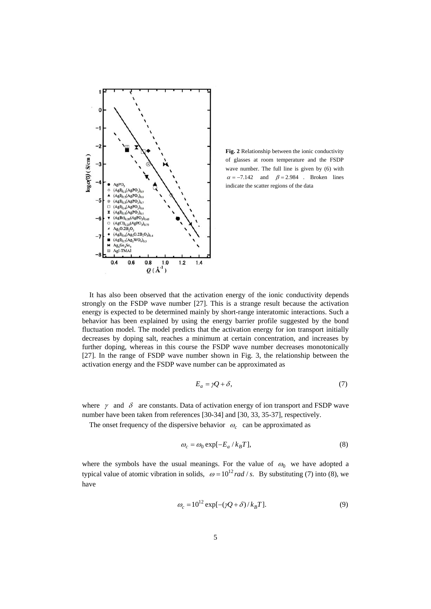

**Fig. 2** Relationship between the ionic conductivity of glasses at room temperature and the FSDP wave number. The full line is given by (6) with  $\alpha = -7.142$  and  $\beta = 2.984$ . Broken lines indicate the scatter regions of the data

It has also been observed that the activation energy of the ionic conductivity depends strongly on the FSDP wave number [27]. This is a strange result because the activation energy is expected to be determined mainly by short-range interatomic interactions. Such a behavior has been explained by using the energy barrier profile suggested by the bond fluctuation model. The model predicts that the activation energy for ion transport initially decreases by doping salt, reaches a minimum at certain concentration, and increases by further doping, whereas in this course the FSDP wave number decreases monotonically [27]. In the range of FSDP wave number shown in Fig. 3, the relationship between the activation energy and the FSDP wave number can be approximated as

$$
E_a = \gamma Q + \delta,\tag{7}
$$

where  $\gamma$  and  $\delta$  are constants. Data of activation energy of ion transport and FSDP wave number have been taken from references [30-34] and [30, 33, 35-37], respectively.

The onset frequency of the dispersive behavior  $\omega_c$  can be approximated as

$$
\omega_c = \omega_0 \exp[-E_a / k_B T],\tag{8}
$$

where the symbols have the usual meanings. For the value of  $\omega_0$  we have adopted a typical value of atomic vibration in solids,  $\omega = 10^{12}$  rad / s. By substituting (7) into (8), we have

$$
\omega_c = 10^{12} \exp[-(\gamma Q + \delta) / k_B T].
$$
\n(9)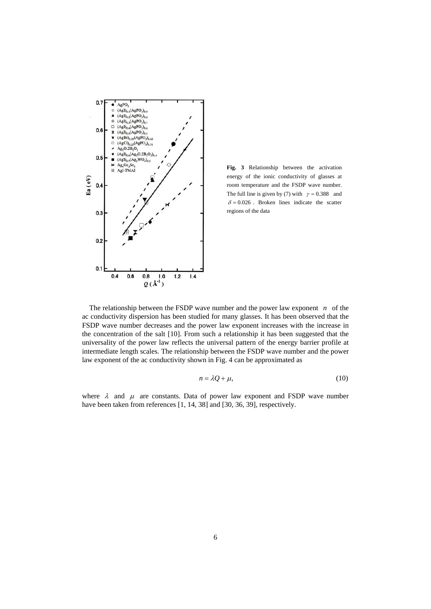

**Fig. 3** Relationship between the activation energy of the ionic conductivity of glasses at room temperature and the FSDP wave number. The full line is given by (7) with  $\gamma = 0.388$  and  $\delta = 0.026$ . Broken lines indicate the scatter regions of the data

The relationship between the FSDP wave number and the power law exponent *n* of the ac conductivity dispersion has been studied for many glasses. It has been observed that the FSDP wave number decreases and the power law exponent increases with the increase in the concentration of the salt [10]. From such a relationship it has been suggested that the universality of the power law reflects the universal pattern of the energy barrier profile at intermediate length scales. The relationship between the FSDP wave number and the power law exponent of the ac conductivity shown in Fig. 4 can be approximated as

$$
n = \lambda Q + \mu,\tag{10}
$$

where  $\lambda$  and  $\mu$  are constants. Data of power law exponent and FSDP wave number have been taken from references [1, 14, 38] and [30, 36, 39], respectively.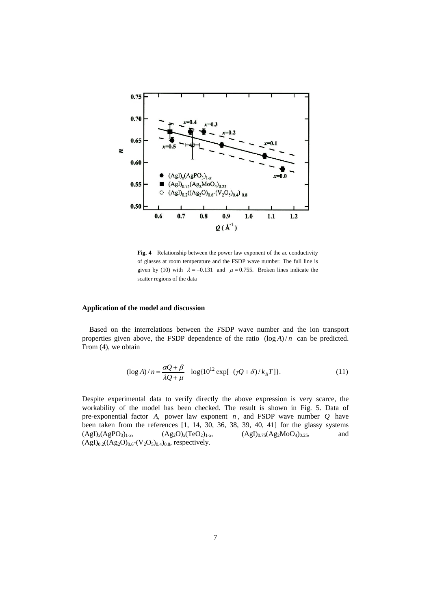

**Fig. 4** Relationship between the power law exponent of the ac conductivity of glasses at room temperature and the FSDP wave number. The full line is given by (10) with  $\lambda = -0.131$  and  $\mu = 0.755$ . Broken lines indicate the scatter regions of the data

## **Application of the model and discussion**

Based on the interrelations between the FSDP wave number and the ion transport properties given above, the FSDP dependence of the ratio  $(\log A)/n$  can be predicted. From (4), we obtain

$$
(\log A)/n = \frac{\alpha Q + \beta}{\lambda Q + \mu} - \log\{10^{12} \exp[-(\gamma Q + \delta)/k_B T]\}.
$$
 (11)

Despite experimental data to verify directly the above expression is very scarce, the workability of the model has been checked. The result is shown in Fig. 5. Data of pre-exponential factor *A*, power law exponent *n*, and FSDP wave number  $Q$  have been taken from the references [1, 14, 30, 36, 38, 39, 40, 41] for the glassy systems  $(AgI)_x(AgPO_3)_{1-x}$ ,  $(Ag_2O)_x(TeO_2)_{1-x}$ ,  $(AgI)_{0.75}(Ag_2MOQ_4)_{0.25}$ , and  $(AgI)_{0.2}((Ag_2O)_{0.6}-(V_2O_5)_{0.4})_{0.8}$ , respectively.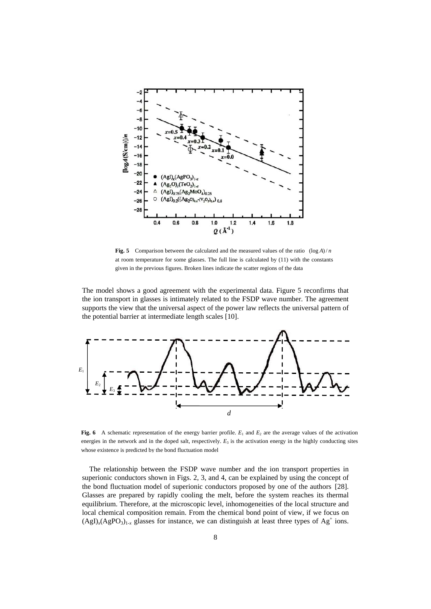

**Fig. 5** Comparison between the calculated and the measured values of the ratio  $(\log A)/n$ at room temperature for some glasses. The full line is calculated by (11) with the constants given in the previous figures. Broken lines indicate the scatter regions of the data

The model shows a good agreement with the experimental data. Figure 5 reconfirms that the ion transport in glasses is intimately related to the FSDP wave number. The agreement supports the view that the universal aspect of the power law reflects the universal pattern of the potential barrier at intermediate length scales [10].



**Fig. 6** A schematic representation of the energy barrier profile.  $E_1$  and  $E_2$  are the average values of the activation energies in the network and in the doped salt, respectively.  $E_3$  is the activation energy in the highly conducting sites whose existence is predicted by the bond fluctuation model

The relationship between the FSDP wave number and the ion transport properties in superionic conductors shown in Figs. 2, 3, and 4, can be explained by using the concept of the bond fluctuation model of superionic conductors proposed by one of the authors [28]. Glasses are prepared by rapidly cooling the melt, before the system reaches its thermal equilibrium. Therefore, at the microscopic level, inhomogeneities of the local structure and local chemical composition remain. From the chemical bond point of view, if we focus on  $(AgI)_x(AgPO_3)_{1-x}$  glasses for instance, we can distinguish at least three types of  $Ag^+$  ions.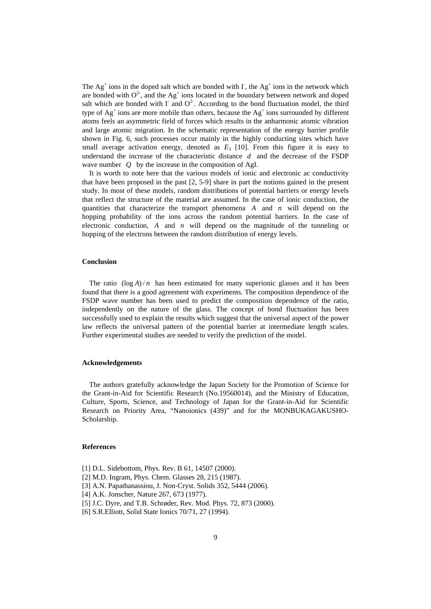The  $Ag<sup>+</sup>$  ions in the doped salt which are bonded with  $\Gamma$ , the  $Ag<sup>+</sup>$  ions in the network which are bonded with  $O^2$ , and the Ag<sup>+</sup> ions located in the boundary between network and doped salt which are bonded with  $\Gamma$  and  $O^2$ . According to the bond fluctuation model, the third type of  $Ag^+$  ions are more mobile than others, because the  $Ag^+$  ions surrounded by different atoms feels an asymmetric field of forces which results in the anharmonic atomic vibration and large atomic migration. In the schematic representation of the energy barrier profile shown in Fig. 6, such processes occur mainly in the highly conducting sites which have small average activation energy, denoted as  $E_3$  [10]. From this figure it is easy to understand the increase of the characteristic distance *d* and the decrease of the FSDP wave number *Q* by the increase in the composition of AgI.

It is worth to note here that the various models of ionic and electronic ac conductivity that have been proposed in the past [2, 5-9] share in part the notions gained in the present study. In most of these models, random distributions of potential barriers or energy levels that reflect the structure of the material are assumed. In the case of ionic conduction, the quantities that characterize the transport phenomena *A* and *n* will depend on the hopping probability of the ions across the random potential barriers. In the case of electronic conduction, *A* and *n* will depend on the magnitude of the tunneling or hopping of the electrons between the random distribution of energy levels.

### **Conclusion**

The ratio  $(\log A)/n$  has been estimated for many superionic glasses and it has been found that there is a good agreement with experiments. The composition dependence of the FSDP wave number has been used to predict the composition dependence of the ratio, independently on the nature of the glass. The concept of bond fluctuation has been successfully used to explain the results which suggest that the universal aspect of the power law reflects the universal pattern of the potential barrier at intermediate length scales. Further experimental studies are needed to verify the prediction of the model.

### **Acknowledgements**

The authors gratefully acknowledge the Japan Society for the Promotion of Science for the Grant-in-Aid for Scientific Research (No.19560014), and the Ministry of Education, Culture, Sports, Science, and Technology of Japan for the Grant-in-Aid for Scientific Research on Priority Area, "Nanoionics (439)" and for the MONBUKAGAKUSHO-Scholarship.

### **References**

- [1] D.L. Sidebottom, Phys. Rev. B 61, 14507 (2000).
- [2] M.D. Ingram, Phys. Chem. Glasses 28, 215 (1987).
- [3] A.N. Papathanassiou, J. Non-Cryst. Solids 352, 5444 (2006).
- [4] A.K. Jonscher, Nature 267, 673 (1977).
- [5] J.C. Dyre, and T.B. Schrøder, Rev. Mod. Phys. 72, 873 (2000).
- [6] S.R.Elliott, Solid State Ionics 70/71, 27 (1994).